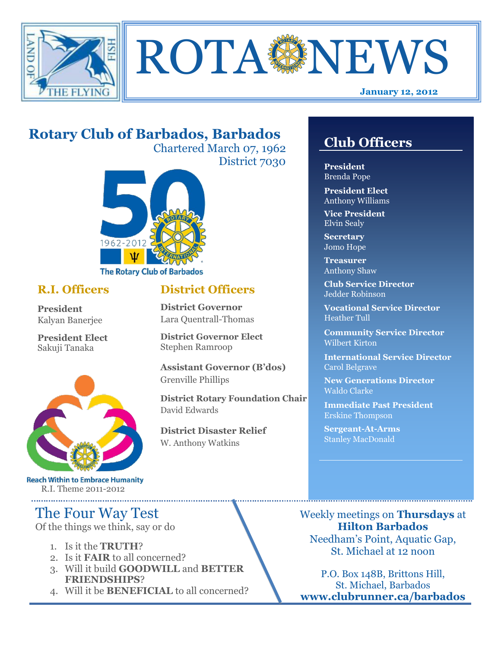



# **Rotary Club of Barbados, Barbados**

Chartered March 07, 1962 District 7030

**District Officers**

**District Governor Elect**

**District Disaster Relief**

W. Anthony Watkins

**Assistant Governor (B'dos)**

**District Rotary Foundation Chair**

**District Governor** Lara Quentrall-Thomas

Stephen Ramroop

Grenville Phillips

David Edwards



### **R.I. Officers**

**President**  Kalyan Banerjee

**President Elect** Sakuji Tanaka



**Reach Within to Embrace Humanity** R.I. Theme 2011-2012

# The Four Way Test

Of the things we think, say or do

- 1. Is it the **TRUTH**?
- 2. Is it **FAIR** to all concerned?
- 3. Will it build **GOODWILL** and **BETTER FRIENDSHIPS**?
- 4. Will it be **BENEFICIAL** to all concerned?

# **Club Officers**

**Club Officers** 

**President** Brenda Pope

**President Elect** Anthony Williams

**Vice President** Elvin Sealy

**Secretary** Jomo Hope

**Treasurer** Anthony Shaw

**Club Service Director** Jedder Robinson

**Vocational Service Director** Heather Tull

**Community Service Director** Wilbert Kirton

**International Service Director** Carol Belgrave

**New Generations Director** Waldo Clarke

**Immediate Past President** Erskine Thompson

**Sergeant-At-Arms** Stanley MacDonald

Weekly meetings on **Thursdays** at **Hilton Barbados** Needham's Point, Aquatic Gap, St. Michael at 12 noon

P.O. Box 148B, Brittons Hill, St. Michael, Barbados **www.clubrunner.ca/barbados**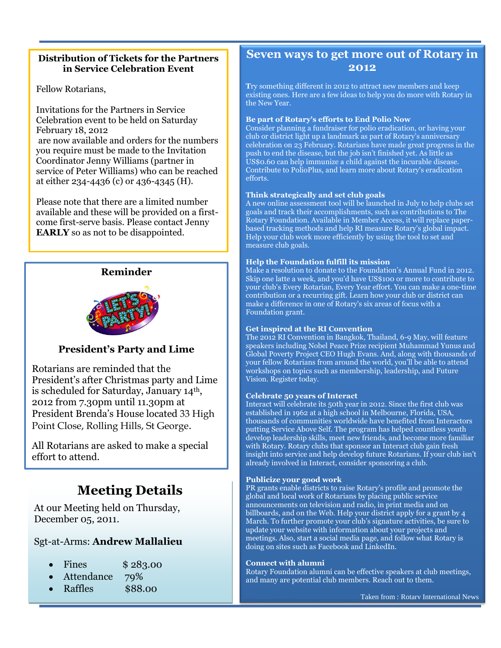### **Distribution of Tickets for the Partners in Service Celebration Event**

Fellow Rotarians,

Invitations for the Partners in Service Celebration event to be held on Saturday February 18, 2012 are now available and orders for the numbers you require must be made to the Invitation Coordinator Jenny Williams (partner in service of Peter Williams) who can be reached

at either 234-4436 (c) or 436-4345 (H).

Please note that there are a limited number available and these will be provided on a firstcome first-serve basis. Please contact Jenny **EARLY** so as not to be disappointed.



### **President's Party and Lime**

Rotarians are reminded that the President's after Christmas party and Lime is scheduled for Saturday, January 14th, 2012 from 7.30pm until 11.30pm at President Brenda's House located 33 High Point Close, Rolling Hills, St George.

All Rotarians are asked to make a special effort to attend.

# **Meeting Details**

At our Meeting held on Thursday, December 05, 2011.

### Sgt-at-Arms: **Andrew Mallalieu**

- Fines \$283.00
- Attendance 79%
- Raffles \$88.00

## **Seven ways to get more out of Rotary in 2012**

**T**ry something different in 2012 to attract new members and keep existing ones. Here are a few ideas to help you do more with Rotary in the New Year.

#### **Be part of Rotary's efforts to End Polio Now**

Consider planning a fundraiser for polio eradication, or having your club or distric[t light up a landmark](http://www.rotary.org/en/MediaAndNews/PressCenter/lightings/Pages/ridefault.aspx) as part of Rotary's anniversary celebration on 23 February. Rotarians have made great progress in the push to end the disease, but the job isn't finished yet. As little as US\$0.60 can help immunize a child against the incurable disease. [Contribute to PolioPlus,](http://www.rotary.org/en/Contribute/Pages/ridefault.aspx) and [learn more about Rotary's eradication](http://www.rotary.org/EN/SERVICEANDFELLOWSHIP/POLIO/Pages/ridefault.aspx)  [efforts.](http://www.rotary.org/EN/SERVICEANDFELLOWSHIP/POLIO/Pages/ridefault.aspx)

#### **Think strategically and set club goals**

A new online assessment tool will be launched in July to help clubs set goals and track their accomplishments, such as contributions to The Rotary Foundation. Available i[n Member Access,](http://www.rotary.org/en/selfservice/Pages/login.aspx) it will replace paperbased tracking methods and help RI measure Rotary's global impact. Help your club work more efficiently by using the tool to set and measure club goals.

#### **Help the Foundation fulfill its mission**

Make a resolution to donate to the Foundation's [Annual Fund](http://www.rotary.org/en/Contribute/Funds/AnnualProgramsFund/Pages/ridefault.aspx) in 2012. Skip one latte a week, and you'd have US\$100 or more to contribute to your club's Every Rotarian, Every Year effort. You can [make a one-time](http://www.rotary.org/EN/CONTRIBUTE/Pages/ridefault.aspx)  [contribution or a recurring gift.](http://www.rotary.org/EN/CONTRIBUTE/Pages/ridefault.aspx) Learn how your club or district can make a difference in one of Rotary'[s six areas of focus](http://www.rotary.org/en/ServiceAndFellowship/AreasofFocus/Pages/ridefault.aspx) with a [Foundation grant.](http://www.rotary.org/en/ServiceAndFellowship/FundAProject/Pages/ridefault.aspx)

#### **Get inspired at the RI Convention**

The 2012 RI Convention in Bangkok, Thailand, 6-9 May, will feature speakers including Nobel Peace Prize recipient Muhammad Yunus and Global Poverty Project CEO Hugh Evans. And, along with thousands of your fellow Rotarians from around the world, you'll be able to attend workshops on topics such as membership, leadership, and [Future](http://www.rotary.org/en/AboutUs/TheRotaryFoundation/FutureVision/Pages/ridefault.aspx)  [Vision.](http://www.rotary.org/en/AboutUs/TheRotaryFoundation/FutureVision/Pages/ridefault.aspx) [Register today.](http://www.rotary.org/en/Members/Events/Convention/Pages/HowtoRegister.aspx)

#### **Celebrate 50 years of Interact**

[Interact](http://www.rotary.org/en/StudentsAndYouth/YouthPrograms/Interact/Pages/ridefault.aspx) will celebrate its 50th year in 2012. Since the first club was established in 1962 at a high school in Melbourne, Florida, USA, thousands of communities worldwide have benefited from Interactors putting Service Above Self. The program has helped countless youth develop leadership skills, meet new friends, and become more familiar with Rotary. Rotary clubs that sponsor an Interact club gain fresh insight into service and help develop future Rotarians. If your club isn't already involved in Interact, consider sponsoring a club.

#### **Publicize your good work**

[PR grants](http://www.rotary.org/en/Members/RunningAClub/InformingTheCommunity/Pages/PRGrants.aspx) enable districts to raise Rotary's profile and promote the global and local work of Rotarians by placing public service announcements on television and radio, in print media and on billboards, and on the Web. Help your district apply for a grant by 4 March. To further promote your club's signature activities, be sure to update your website with information about your projects and meetings. Also, start [a social media](http://www.rotary.org/en/MediaAndNews/Multimedia/social_networking/Pages/ridefault.aspx) page, and follow what Rotary is doing on sites such as Facebook and LinkedIn.

#### **Connect with alumni**

Rotary Foundation [alumni](http://www.rotary.org/en/StudentsAndYouth/Alumni/Pages/ridefault.aspx) can be effective speakers at club meetings, and many are potential club members. Reach out to them.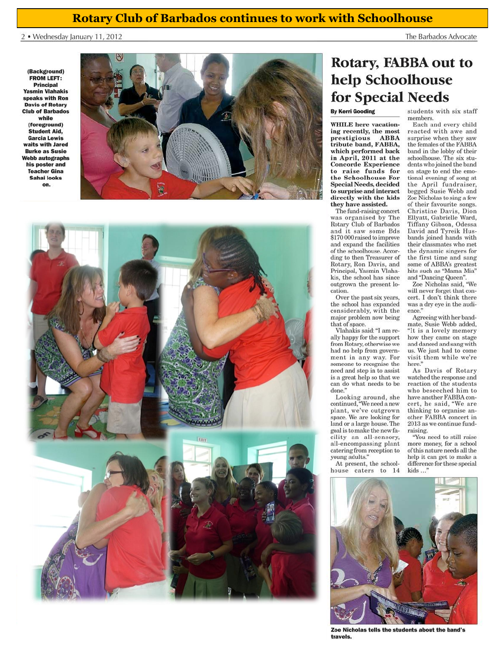### **Rotary Club of Barbados continues to work with Schoolhouse**

2 . Wednesday January 11, 2012

(Background) FROM LEFT: **Principal Yasmin Vlahakis** speaks with Ron **Davis of Rotary Club of Barbados** while (foreground) **Student Aid. Garcia Lewis** waits with Jared **Burke as Susie Webb autographs** his poster and **Teacher Gina** Sahai looks on.





# Rotary, FABBA out to help Schoolhouse for Special Needs

#### **By Kerri Gooding**

**WHILE** here vacationing recently, the most prestigious ABBA tribute band, FABBA, which performed back in April, 2011 at the **Concorde Experience** to raise funds for the Schoolhouse For **Special Needs, decided** to surprise and interact directly with the kids they have assisted.

The fund-raising concert was organised by The Rotary Club of Barbados and it saw some Bds \$170 000 raised to improve and expand the facilities of the schoolhouse. According to then Treasurer of Rotary, Ron Davis, and Principal, Yasmin Vlahakis, the school has since<br>outgrown the present location.

Over the past six years, the school has expanded considerably, with the major problem now being that of space.

Vlahakis said: "I am really happy for the support from Rotary, otherwise we had no help from government in any way. For someone to recognise the need and step in to assist is a great help so that we can do what needs to be done."

Looking around, she continued, "We need a new plant, we've outgrown space. We are looking for land or a large house. The goal is to make the new facility an all-sensory, all-encompassing plant catering from reception to young adults."

At present, the schoolhouse caters to 14

students with six staff members Each and every child reacted with awe and surprise when they saw the females of the FABBA band in the lobby of their schoolhouse. The six students who joined the band on stage to end the emotional evening of song at the April fundraiser. begged Susie Webb and

The Barbados Advocate

Zoe Nicholas to sing a few of their favourite songs. Christine Davis, Dion Ellyatt, Gabrielle Ward, Tiffany Gibson, Odessa David and Tyreik Husbands joined hands with their classmates who met the dynamic singers for the first time and sang some of ABBA's greatest hits such as "Mama Mia" and "Dancing Queen".

Zoe Nicholas said. "We will never forget that concert. I don't think there was a dry eye in the audience."

Agreeing with her bandmate, Susie Webb added, "It is a lovely memory how they came on stage and danced and sang with us. We just had to come visit them while we're here.

As Davis of Rotary watched the response and reaction of the students who beseeched him to have another FABBA concert, he said, "We are thinking to organise another FABBA concert in 2013 as we continue fundraising.

"You need to still raise more money, for a school of this nature needs all the help it can get to make a difference for these special kids...



Zoe Nicholas tells the students about the band's travels.